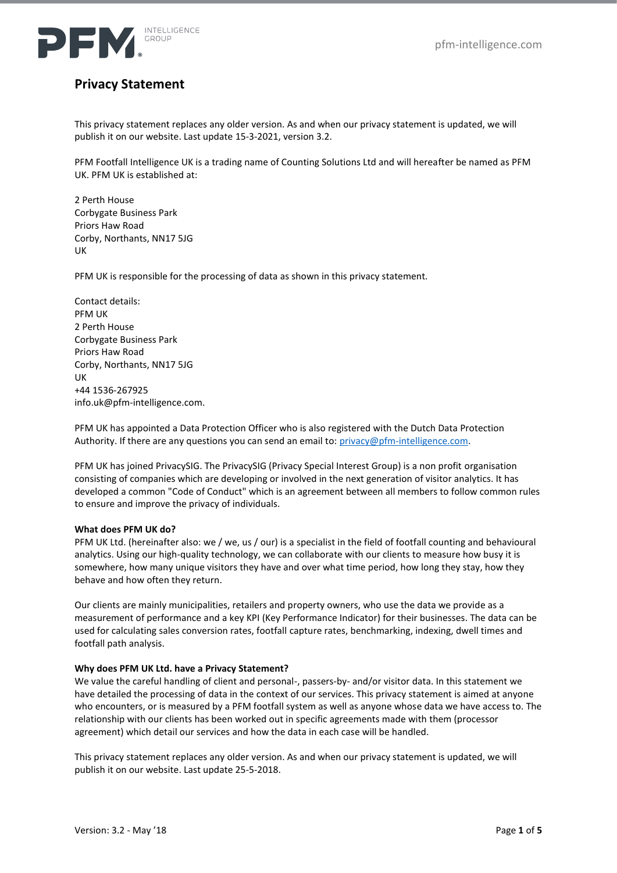

# **Privacy Statement**

This privacy statement replaces any older version. As and when our privacy statement is updated, we will publish it on our website. Last update 15-3-2021, version 3.2.

PFM Footfall Intelligence UK is a trading name of Counting Solutions Ltd and will hereafter be named as PFM UK. PFM UK is established at:

2 Perth House Corbygate Business Park Priors Haw Road Corby, Northants, NN17 5JG UK

PFM UK is responsible for the processing of data as shown in this privacy statement.

Contact details: PFM UK 2 Perth House Corbygate Business Park Priors Haw Road Corby, Northants, NN17 5JG UK +44 1536-267925 info.uk@pfm-intelligence.com.

PFM UK has appointed a Data Protection Officer who is also registered with the Dutch Data Protection Authority. If there are any questions you can send an email to[: privacy@pfm-intelligence.com.](mailto:privacy@pfm-intelligence.com)

PFM UK has joined PrivacySIG. The PrivacySIG (Privacy Special Interest Group) is a non profit organisation consisting of companies which are developing or involved in the next generation of visitor analytics. It has developed a common "Code of Conduct" which is an agreement between all members to follow common rules to ensure and improve the privacy of individuals.

#### **What does PFM UK do?**

PFM UK Ltd. (hereinafter also: we / we, us / our) is a specialist in the field of footfall counting and behavioural analytics. Using our high-quality technology, we can collaborate with our clients to measure how busy it is somewhere, how many unique visitors they have and over what time period, how long they stay, how they behave and how often they return.

Our clients are mainly municipalities, retailers and property owners, who use the data we provide as a measurement of performance and a key KPI (Key Performance Indicator) for their businesses. The data can be used for calculating sales conversion rates, footfall capture rates, benchmarking, indexing, dwell times and footfall path analysis.

#### **Why does PFM UK Ltd. have a Privacy Statement?**

We value the careful handling of client and personal-, passers-by- and/or visitor data. In this statement we have detailed the processing of data in the context of our services. This privacy statement is aimed at anyone who encounters, or is measured by a PFM footfall system as well as anyone whose data we have access to. The relationship with our clients has been worked out in specific agreements made with them (processor agreement) which detail our services and how the data in each case will be handled.

This privacy statement replaces any older version. As and when our privacy statement is updated, we will publish it on our website. Last update 25-5-2018.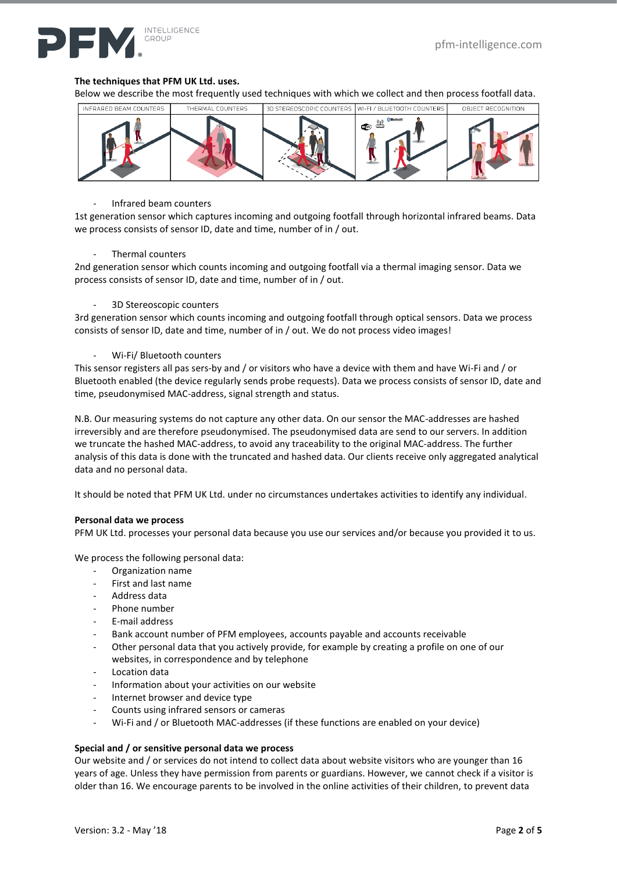

### **The techniques that PFM UK Ltd. uses.**

Below we describe the most frequently used techniques with which we collect and then process footfall data.



#### - Infrared beam counters

1st generation sensor which captures incoming and outgoing footfall through horizontal infrared beams. Data we process consists of sensor ID, date and time, number of in / out.

#### Thermal counters

2nd generation sensor which counts incoming and outgoing footfall via a thermal imaging sensor. Data we process consists of sensor ID, date and time, number of in / out.

#### 3D Stereoscopic counters

3rd generation sensor which counts incoming and outgoing footfall through optical sensors. Data we process consists of sensor ID, date and time, number of in / out. We do not process video images!

#### Wi-Fi/ Bluetooth counters

This sensor registers all pas sers-by and / or visitors who have a device with them and have Wi-Fi and / or Bluetooth enabled (the device regularly sends probe requests). Data we process consists of sensor ID, date and time, pseudonymised MAC-address, signal strength and status.

N.B. Our measuring systems do not capture any other data. On our sensor the MAC-addresses are hashed irreversibly and are therefore pseudonymised. The pseudonymised data are send to our servers. In addition we truncate the hashed MAC-address, to avoid any traceability to the original MAC-address. The further analysis of this data is done with the truncated and hashed data. Our clients receive only aggregated analytical data and no personal data.

It should be noted that PFM UK Ltd. under no circumstances undertakes activities to identify any individual.

#### **Personal data we process**

PFM UK Ltd. processes your personal data because you use our services and/or because you provided it to us.

We process the following personal data:

- Organization name
- First and last name
- Address data
- Phone number
- E-mail address
- Bank account number of PFM employees, accounts payable and accounts receivable
- Other personal data that you actively provide, for example by creating a profile on one of our websites, in correspondence and by telephone
- Location data
- Information about your activities on our website
- Internet browser and device type
- Counts using infrared sensors or cameras
- Wi-Fi and / or Bluetooth MAC-addresses (if these functions are enabled on your device)

#### **Special and / or sensitive personal data we process**

Our website and / or services do not intend to collect data about website visitors who are younger than 16 years of age. Unless they have permission from parents or guardians. However, we cannot check if a visitor is older than 16. We encourage parents to be involved in the online activities of their children, to prevent data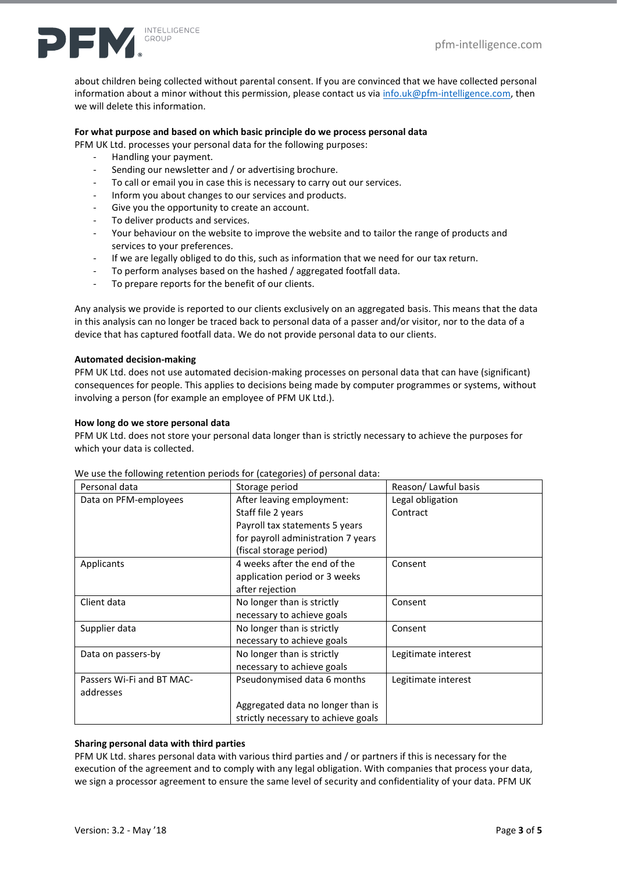

about children being collected without parental consent. If you are convinced that we have collected personal information about a minor without this permission, please contact us vi[a info.uk@pfm-intelligence.com,](mailto:info.uk@pfm-intelligence.com) then we will delete this information.

# **For what purpose and based on which basic principle do we process personal data**

PFM UK Ltd. processes your personal data for the following purposes:

- Handling your payment.
- Sending our newsletter and / or advertising brochure.
- To call or email you in case this is necessary to carry out our services.
- Inform you about changes to our services and products.
- Give you the opportunity to create an account.
- To deliver products and services.
- Your behaviour on the website to improve the website and to tailor the range of products and services to your preferences.
- If we are legally obliged to do this, such as information that we need for our tax return.
- To perform analyses based on the hashed / aggregated footfall data.
- To prepare reports for the benefit of our clients.

Any analysis we provide is reported to our clients exclusively on an aggregated basis. This means that the data in this analysis can no longer be traced back to personal data of a passer and/or visitor, nor to the data of a device that has captured footfall data. We do not provide personal data to our clients.

#### **Automated decision-making**

PFM UK Ltd. does not use automated decision-making processes on personal data that can have (significant) consequences for people. This applies to decisions being made by computer programmes or systems, without involving a person (for example an employee of PFM UK Ltd.).

#### **How long do we store personal data**

PFM UK Ltd. does not store your personal data longer than is strictly necessary to achieve the purposes for which your data is collected.

| Personal data             | Storage period                      | Reason/Lawful basis |
|---------------------------|-------------------------------------|---------------------|
| Data on PFM-employees     | After leaving employment:           | Legal obligation    |
|                           | Staff file 2 years                  | Contract            |
|                           | Payroll tax statements 5 years      |                     |
|                           | for payroll administration 7 years  |                     |
|                           | (fiscal storage period)             |                     |
| Applicants                | 4 weeks after the end of the        | Consent             |
|                           | application period or 3 weeks       |                     |
|                           | after rejection                     |                     |
| Client data               | No longer than is strictly          | Consent             |
|                           | necessary to achieve goals          |                     |
| Supplier data             | No longer than is strictly          | Consent             |
|                           | necessary to achieve goals          |                     |
| Data on passers-by        | No longer than is strictly          | Legitimate interest |
|                           | necessary to achieve goals          |                     |
| Passers Wi-Fi and BT MAC- | Pseudonymised data 6 months         | Legitimate interest |
| addresses                 |                                     |                     |
|                           | Aggregated data no longer than is   |                     |
|                           | strictly necessary to achieve goals |                     |

We use the following retention periods for (categories) of personal data:

# **Sharing personal data with third parties**

PFM UK Ltd. shares personal data with various third parties and / or partners if this is necessary for the execution of the agreement and to comply with any legal obligation. With companies that process your data, we sign a processor agreement to ensure the same level of security and confidentiality of your data. PFM UK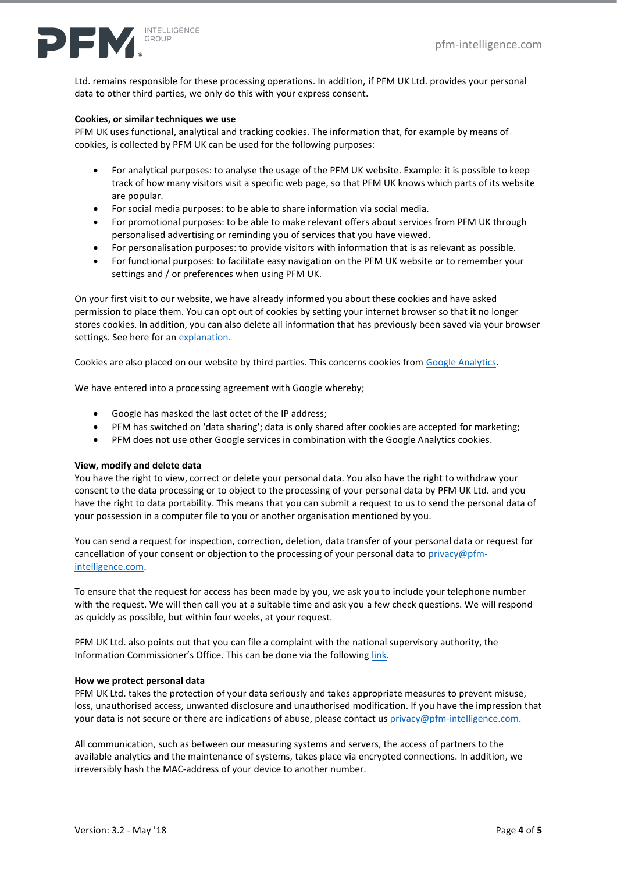

Ltd. remains responsible for these processing operations. In addition, if PFM UK Ltd. provides your personal data to other third parties, we only do this with your express consent.

#### **Cookies, or similar techniques we use**

PFM UK uses functional, analytical and tracking cookies. The information that, for example by means of cookies, is collected by PFM UK can be used for the following purposes:

- For analytical purposes: to analyse the usage of the PFM UK website. Example: it is possible to keep track of how many visitors visit a specific web page, so that PFM UK knows which parts of its website are popular.
- For social media purposes: to be able to share information via social media.
- For promotional purposes: to be able to make relevant offers about services from PFM UK through personalised advertising or reminding you of services that you have viewed.
- For personalisation purposes: to provide visitors with information that is as relevant as possible.
- For functional purposes: to facilitate easy navigation on the PFM UK website or to remember your settings and / or preferences when using PFM UK.

On your first visit to our website, we have already informed you about these cookies and have asked permission to place them. You can opt out of cookies by setting your internet browser so that it no longer stores cookies. In addition, you can also delete all information that has previously been saved via your browser settings. See here for a[n explanation.](https://ico.org.uk/for-organisations/guide-to-pecr/cookies-and-similar-technologies/)

Cookies are also placed on our website by third parties. This concerns cookies from [Google Analytics.](https://developers.google.com/analytics/devguides/collection/analyticsjs/cookie-usage)

We have entered into a processing agreement with Google whereby;

- Google has masked the last octet of the IP address;
- PFM has switched on 'data sharing'; data is only shared after cookies are accepted for marketing;
- PFM does not use other Google services in combination with the Google Analytics cookies.

# **View, modify and delete data**

You have the right to view, correct or delete your personal data. You also have the right to withdraw your consent to the data processing or to object to the processing of your personal data by PFM UK Ltd. and you have the right to data portability. This means that you can submit a request to us to send the personal data of your possession in a computer file to you or another organisation mentioned by you.

You can send a request for inspection, correction, deletion, data transfer of your personal data or request for cancellation of your consent or objection to the processing of your personal data to [privacy@pfm](mailto:privacy@pfm-intelligence.com)[intelligence.com.](mailto:privacy@pfm-intelligence.com)

To ensure that the request for access has been made by you, we ask you to include your telephone number with the request. We will then call you at a suitable time and ask you a few check questions. We will respond as quickly as possible, but within four weeks, at your request.

PFM UK Ltd. also points out that you can file a complaint with the national supervisory authority, the Information Commissioner's Office. This can be done via the followin[g link.](https://ico.org.uk/make-a-complaint/)

# **How we protect personal data**

PFM UK Ltd. takes the protection of your data seriously and takes appropriate measures to prevent misuse, loss, unauthorised access, unwanted disclosure and unauthorised modification. If you have the impression that your data is not secure or there are indications of abuse, please contact us [privacy@pfm-intelligence.com.](mailto:privacy@pfm-intelligence.com)

All communication, such as between our measuring systems and servers, the access of partners to the available analytics and the maintenance of systems, takes place via encrypted connections. In addition, we irreversibly hash the MAC-address of your device to another number.